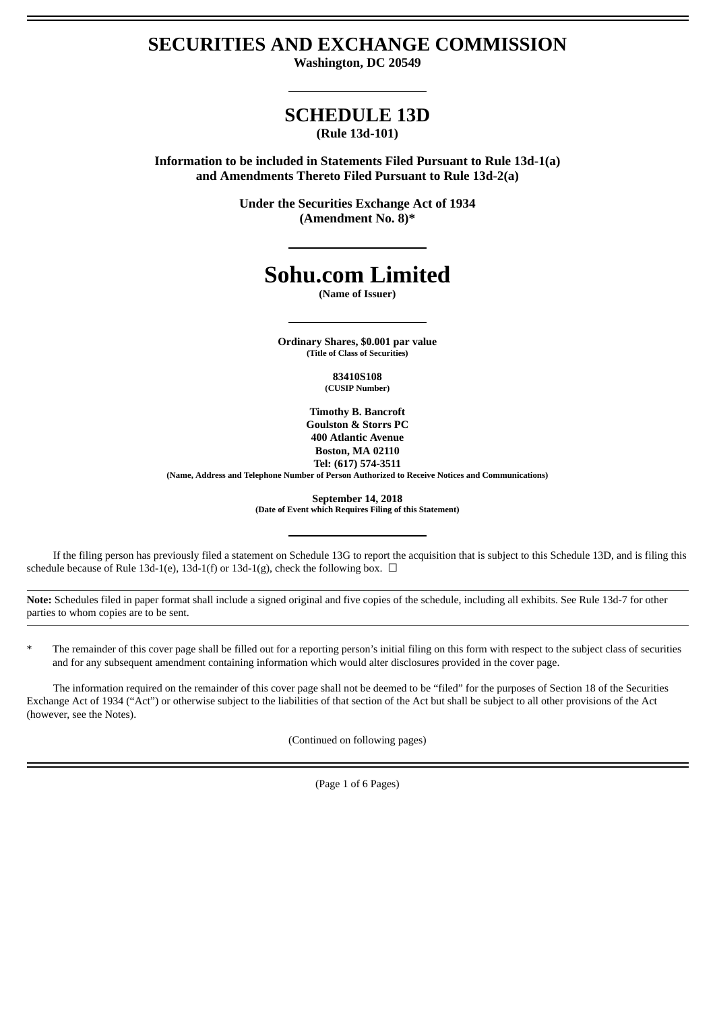# **SECURITIES AND EXCHANGE COMMISSION**

**Washington, DC 20549**

## **SCHEDULE 13D (Rule 13d-101)**

**Information to be included in Statements Filed Pursuant to Rule 13d-1(a) and Amendments Thereto Filed Pursuant to Rule 13d-2(a)**

> **Under the Securities Exchange Act of 1934 (Amendment No. 8)\***

# **Sohu.com Limited**

**(Name of Issuer)**

**Ordinary Shares, \$0.001 par value (Title of Class of Securities)**

> **83410S108 (CUSIP Number)**

**Timothy B. Bancroft Goulston & Storrs PC 400 Atlantic Avenue Boston, MA 02110 Tel: (617) 574-3511**

**(Name, Address and Telephone Number of Person Authorized to Receive Notices and Communications)**

**September 14, 2018 (Date of Event which Requires Filing of this Statement)**

If the filing person has previously filed a statement on Schedule 13G to report the acquisition that is subject to this Schedule 13D, and is filing this schedule because of Rule 13d-1(e), 13d-1(f) or 13d-1(g), check the following box.  $\Box$ 

**Note:** Schedules filed in paper format shall include a signed original and five copies of the schedule, including all exhibits. See Rule 13d-7 for other parties to whom copies are to be sent.

The remainder of this cover page shall be filled out for a reporting person's initial filing on this form with respect to the subject class of securities and for any subsequent amendment containing information which would alter disclosures provided in the cover page.

The information required on the remainder of this cover page shall not be deemed to be "filed" for the purposes of Section 18 of the Securities Exchange Act of 1934 ("Act") or otherwise subject to the liabilities of that section of the Act but shall be subject to all other provisions of the Act (however, see the Notes).

(Continued on following pages)

(Page 1 of 6 Pages)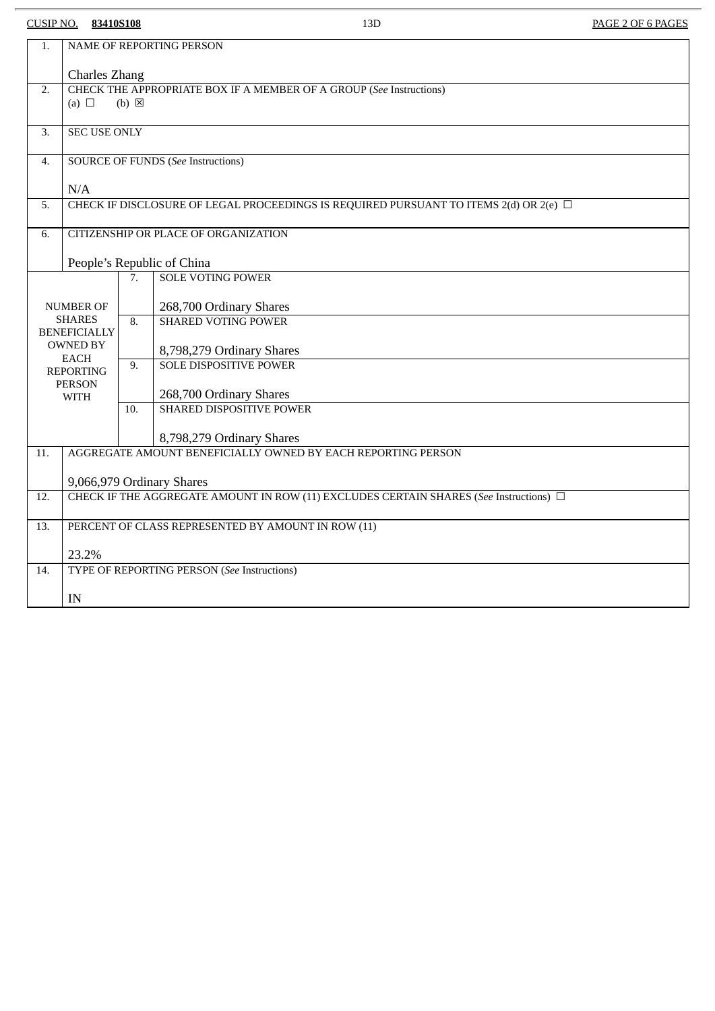CUSIP NO. **83410S108** 13D PAGE 2 OF 6 PAGES

| 1.                                                                                 | NAME OF REPORTING PERSON                                                                               |     |                                 |
|------------------------------------------------------------------------------------|--------------------------------------------------------------------------------------------------------|-----|---------------------------------|
|                                                                                    | <b>Charles Zhang</b>                                                                                   |     |                                 |
| 2.                                                                                 | CHECK THE APPROPRIATE BOX IF A MEMBER OF A GROUP (See Instructions)<br>(a) $\Box$<br>$(b)$ $\boxtimes$ |     |                                 |
|                                                                                    |                                                                                                        |     |                                 |
| 3.                                                                                 | <b>SEC USE ONLY</b>                                                                                    |     |                                 |
| 4.                                                                                 | <b>SOURCE OF FUNDS (See Instructions)</b>                                                              |     |                                 |
|                                                                                    | N/A                                                                                                    |     |                                 |
| 5.                                                                                 | CHECK IF DISCLOSURE OF LEGAL PROCEEDINGS IS REQUIRED PURSUANT TO ITEMS 2(d) OR 2(e) □                  |     |                                 |
| 6.                                                                                 | CITIZENSHIP OR PLACE OF ORGANIZATION                                                                   |     |                                 |
|                                                                                    | People's Republic of China                                                                             |     |                                 |
|                                                                                    |                                                                                                        | 7.  | <b>SOLE VOTING POWER</b>        |
| <b>NUMBER OF</b>                                                                   |                                                                                                        |     | 268,700 Ordinary Shares         |
| <b>SHARES</b><br><b>BENEFICIALLY</b>                                               |                                                                                                        | 8.  | <b>SHARED VOTING POWER</b>      |
| <b>OWNED BY</b><br><b>EACH</b><br><b>REPORTING</b><br><b>PERSON</b><br><b>WITH</b> |                                                                                                        |     | 8,798,279 Ordinary Shares       |
|                                                                                    |                                                                                                        | 9.  | <b>SOLE DISPOSITIVE POWER</b>   |
|                                                                                    |                                                                                                        |     | 268,700 Ordinary Shares         |
|                                                                                    |                                                                                                        | 10. | <b>SHARED DISPOSITIVE POWER</b> |
|                                                                                    |                                                                                                        |     | 8,798,279 Ordinary Shares       |
| 11.                                                                                | AGGREGATE AMOUNT BENEFICIALLY OWNED BY EACH REPORTING PERSON                                           |     |                                 |
|                                                                                    | 9,066,979 Ordinary Shares                                                                              |     |                                 |
| 12.                                                                                | CHECK IF THE AGGREGATE AMOUNT IN ROW (11) EXCLUDES CERTAIN SHARES (See Instructions) $\Box$            |     |                                 |
| 13.                                                                                | PERCENT OF CLASS REPRESENTED BY AMOUNT IN ROW (11)                                                     |     |                                 |
|                                                                                    | 23.2%                                                                                                  |     |                                 |
| 14.                                                                                | TYPE OF REPORTING PERSON (See Instructions)                                                            |     |                                 |
|                                                                                    |                                                                                                        |     |                                 |
|                                                                                    | IN                                                                                                     |     |                                 |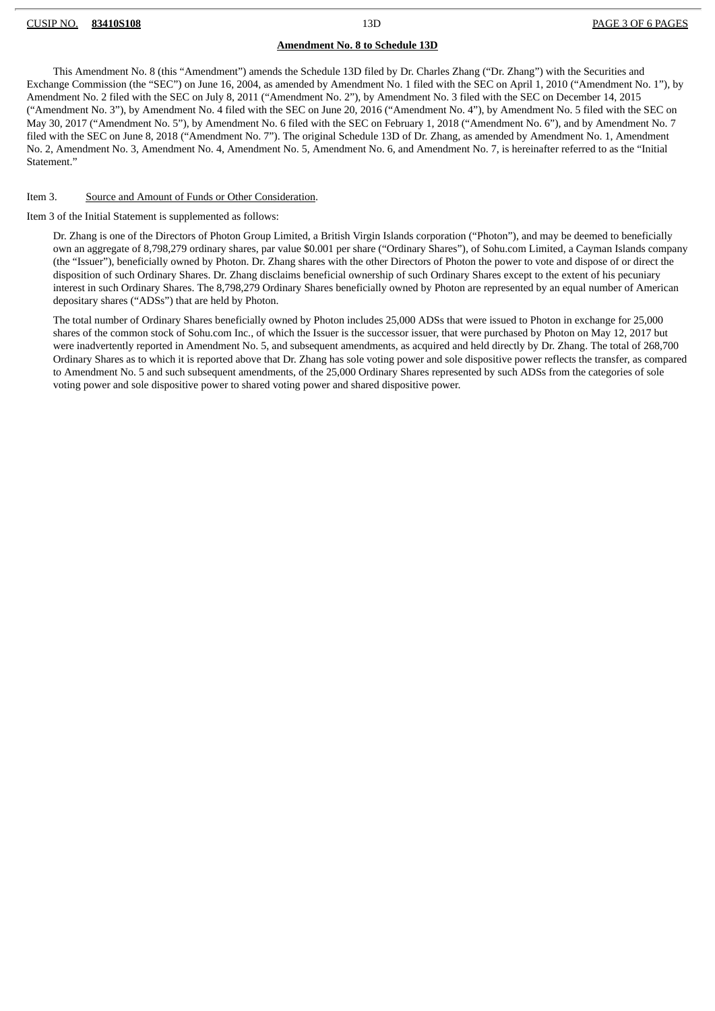#### **Amendment No. 8 to Schedule 13D**

This Amendment No. 8 (this "Amendment") amends the Schedule 13D filed by Dr. Charles Zhang ("Dr. Zhang") with the Securities and Exchange Commission (the "SEC") on June 16, 2004, as amended by Amendment No. 1 filed with the SEC on April 1, 2010 ("Amendment No. 1"), by Amendment No. 2 filed with the SEC on July 8, 2011 ("Amendment No. 2"), by Amendment No. 3 filed with the SEC on December 14, 2015 ("Amendment No. 3"), by Amendment No. 4 filed with the SEC on June 20, 2016 ("Amendment No. 4"), by Amendment No. 5 filed with the SEC on May 30, 2017 ("Amendment No. 5"), by Amendment No. 6 filed with the SEC on February 1, 2018 ("Amendment No. 6"), and by Amendment No. 7 filed with the SEC on June 8, 2018 ("Amendment No. 7"). The original Schedule 13D of Dr. Zhang, as amended by Amendment No. 1, Amendment No. 2, Amendment No. 3, Amendment No. 4, Amendment No. 5, Amendment No. 6, and Amendment No. 7, is hereinafter referred to as the "Initial Statement."

#### Item 3. Source and Amount of Funds or Other Consideration.

Item 3 of the Initial Statement is supplemented as follows:

Dr. Zhang is one of the Directors of Photon Group Limited, a British Virgin Islands corporation ("Photon"), and may be deemed to beneficially own an aggregate of 8,798,279 ordinary shares, par value \$0.001 per share ("Ordinary Shares"), of Sohu.com Limited, a Cayman Islands company (the "Issuer"), beneficially owned by Photon. Dr. Zhang shares with the other Directors of Photon the power to vote and dispose of or direct the disposition of such Ordinary Shares. Dr. Zhang disclaims beneficial ownership of such Ordinary Shares except to the extent of his pecuniary interest in such Ordinary Shares. The 8,798,279 Ordinary Shares beneficially owned by Photon are represented by an equal number of American depositary shares ("ADSs") that are held by Photon.

The total number of Ordinary Shares beneficially owned by Photon includes 25,000 ADSs that were issued to Photon in exchange for 25,000 shares of the common stock of Sohu.com Inc., of which the Issuer is the successor issuer, that were purchased by Photon on May 12, 2017 but were inadvertently reported in Amendment No. 5, and subsequent amendments, as acquired and held directly by Dr. Zhang. The total of 268,700 Ordinary Shares as to which it is reported above that Dr. Zhang has sole voting power and sole dispositive power reflects the transfer, as compared to Amendment No. 5 and such subsequent amendments, of the 25,000 Ordinary Shares represented by such ADSs from the categories of sole voting power and sole dispositive power to shared voting power and shared dispositive power.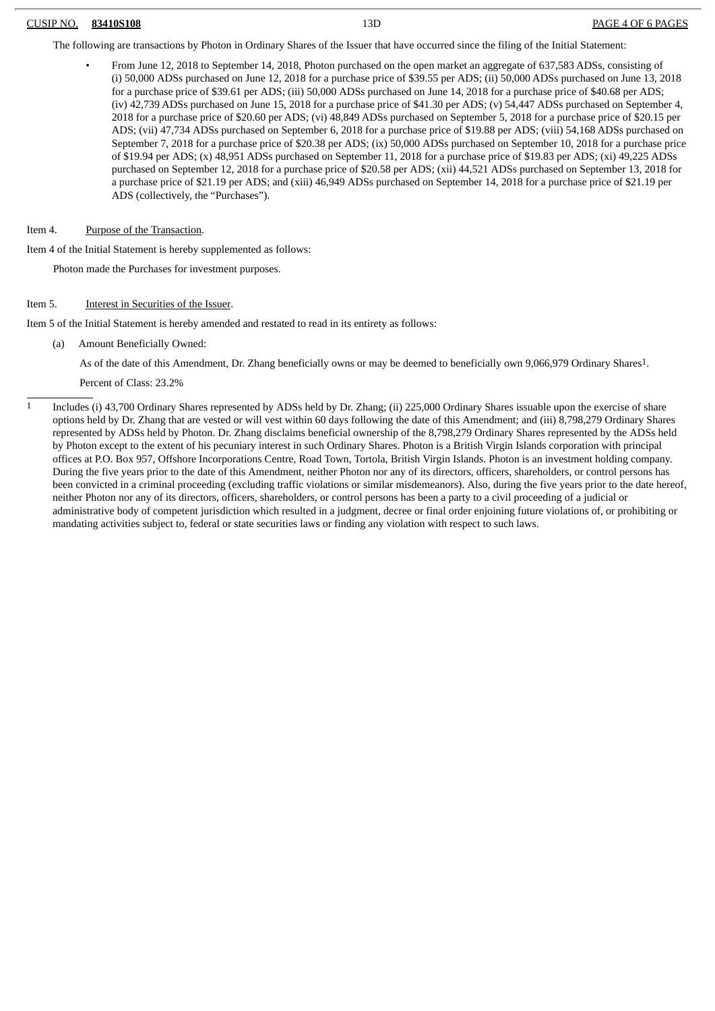#### CUSIP NO. **83410S108** 13D PAGE 4 OF 6 PAGES

The following are transactions by Photon in Ordinary Shares of the Issuer that have occurred since the filing of the Initial Statement:

- From June 12, 2018 to September 14, 2018, Photon purchased on the open market an aggregate of 637,583 ADSs, consisting of (i) 50,000 ADSs purchased on June 12, 2018 for a purchase price of \$39.55 per ADS; (ii) 50,000 ADSs purchased on June 13, 2018 for a purchase price of \$39.61 per ADS; (iii) 50,000 ADSs purchased on June 14, 2018 for a purchase price of \$40.68 per ADS; (iv) 42,739 ADSs purchased on June 15, 2018 for a purchase price of \$41.30 per ADS; (v) 54,447 ADSs purchased on September 4, 2018 for a purchase price of \$20.60 per ADS; (vi) 48,849 ADSs purchased on September 5, 2018 for a purchase price of \$20.15 per ADS; (vii) 47,734 ADSs purchased on September 6, 2018 for a purchase price of \$19.88 per ADS; (viii) 54,168 ADSs purchased on September 7, 2018 for a purchase price of \$20.38 per ADS; (ix) 50,000 ADSs purchased on September 10, 2018 for a purchase price of \$19.94 per ADS; (x) 48,951 ADSs purchased on September 11, 2018 for a purchase price of \$19.83 per ADS; (xi) 49,225 ADSs purchased on September 12, 2018 for a purchase price of \$20.58 per ADS; (xii) 44,521 ADSs purchased on September 13, 2018 for a purchase price of \$21.19 per ADS; and (xiii) 46,949 ADSs purchased on September 14, 2018 for a purchase price of \$21.19 per ADS (collectively, the "Purchases").
- Item 4. Purpose of the Transaction.

Item 4 of the Initial Statement is hereby supplemented as follows:

Photon made the Purchases for investment purposes.

#### Item 5. **Interest in Securities of the Issuer.**

Item 5 of the Initial Statement is hereby amended and restated to read in its entirety as follows:

(a) Amount Beneficially Owned:

As of the date of this Amendment, Dr. Zhang beneficially owns or may be deemed to beneficially own 9,066,979 Ordinary Shares1.

Percent of Class: 23.2%

1 Includes (i) 43,700 Ordinary Shares represented by ADSs held by Dr. Zhang; (ii) 225,000 Ordinary Shares issuable upon the exercise of share options held by Dr. Zhang that are vested or will vest within 60 days following the date of this Amendment; and (iii) 8,798,279 Ordinary Shares represented by ADSs held by Photon. Dr. Zhang disclaims beneficial ownership of the 8,798,279 Ordinary Shares represented by the ADSs held by Photon except to the extent of his pecuniary interest in such Ordinary Shares. Photon is a British Virgin Islands corporation with principal offices at P.O. Box 957, Offshore Incorporations Centre, Road Town, Tortola, British Virgin Islands. Photon is an investment holding company. During the five years prior to the date of this Amendment, neither Photon nor any of its directors, officers, shareholders, or control persons has been convicted in a criminal proceeding (excluding traffic violations or similar misdemeanors). Also, during the five years prior to the date hereof, neither Photon nor any of its directors, officers, shareholders, or control persons has been a party to a civil proceeding of a judicial or administrative body of competent jurisdiction which resulted in a judgment, decree or final order enjoining future violations of, or prohibiting or mandating activities subject to, federal or state securities laws or finding any violation with respect to such laws.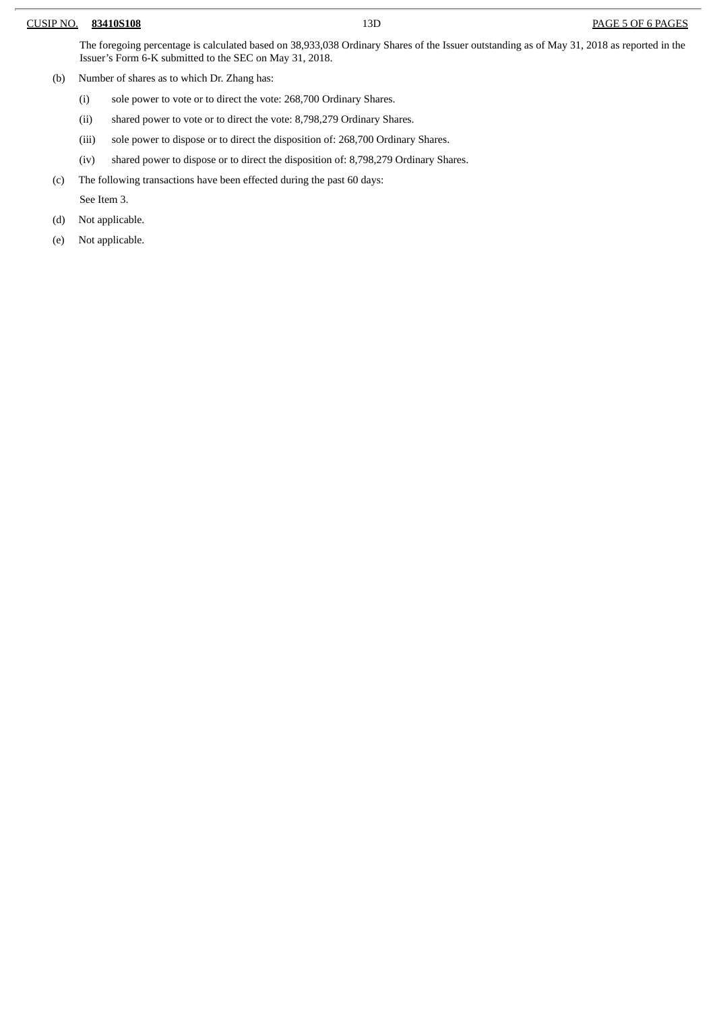#### CUSIP NO. **83410S108** 13D PAGE 5 OF 6 PAGES

The foregoing percentage is calculated based on 38,933,038 Ordinary Shares of the Issuer outstanding as of May 31, 2018 as reported in the Issuer's Form 6-K submitted to the SEC on May 31, 2018.

- (b) Number of shares as to which Dr. Zhang has:
	- (i) sole power to vote or to direct the vote: 268,700 Ordinary Shares.
	- (ii) shared power to vote or to direct the vote: 8,798,279 Ordinary Shares.
	- (iii) sole power to dispose or to direct the disposition of: 268,700 Ordinary Shares.
	- (iv) shared power to dispose or to direct the disposition of: 8,798,279 Ordinary Shares.
- (c) The following transactions have been effected during the past 60 days:

See Item 3.

- (d) Not applicable.
- (e) Not applicable.